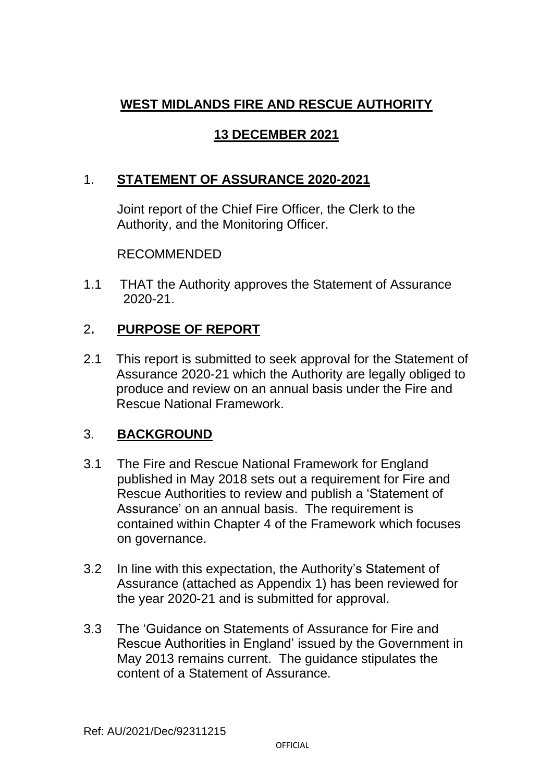# **WEST MIDLANDS FIRE AND RESCUE AUTHORITY**

# **13 DECEMBER 2021**

# 1. **STATEMENT OF ASSURANCE 2020-2021**

Joint report of the Chief Fire Officer, the Clerk to the Authority, and the Monitoring Officer.

RECOMMENDED

1.1 THAT the Authority approves the Statement of Assurance 2020-21.

# 2**. PURPOSE OF REPORT**

2.1 This report is submitted to seek approval for the Statement of Assurance 2020-21 which the Authority are legally obliged to produce and review on an annual basis under the Fire and Rescue National Framework.

#### 3. **BACKGROUND**

- 3.1 The Fire and Rescue National Framework for England published in May 2018 sets out a requirement for Fire and Rescue Authorities to review and publish a 'Statement of Assurance' on an annual basis. The requirement is contained within Chapter 4 of the Framework which focuses on governance.
- 3.2 In line with this expectation, the Authority's Statement of Assurance (attached as Appendix 1) has been reviewed for the year 2020-21 and is submitted for approval.
- 3.3 The 'Guidance on Statements of Assurance for Fire and Rescue Authorities in England' issued by the Government in May 2013 remains current. The guidance stipulates the content of a Statement of Assurance.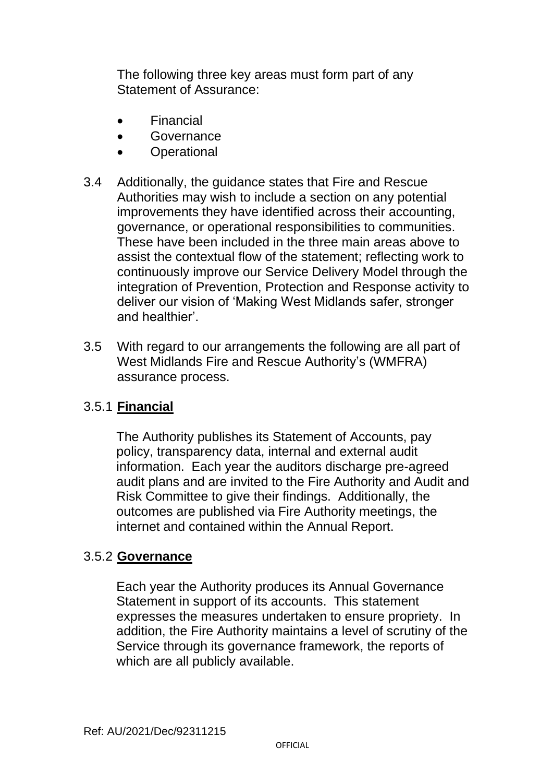The following three key areas must form part of any Statement of Assurance:

- Financial
- **Governance**
- Operational
- 3.4 Additionally, the guidance states that Fire and Rescue Authorities may wish to include a section on any potential improvements they have identified across their accounting, governance, or operational responsibilities to communities. These have been included in the three main areas above to assist the contextual flow of the statement; reflecting work to continuously improve our Service Delivery Model through the integration of Prevention, Protection and Response activity to deliver our vision of 'Making West Midlands safer, stronger and healthier'.
- 3.5 With regard to our arrangements the following are all part of West Midlands Fire and Rescue Authority's (WMFRA) assurance process.

# 3.5.1 **Financial**

The Authority publishes its Statement of Accounts, pay policy, transparency data, internal and external audit information. Each year the auditors discharge pre-agreed audit plans and are invited to the Fire Authority and Audit and Risk Committee to give their findings. Additionally, the outcomes are published via Fire Authority meetings, the internet and contained within the Annual Report.

#### 3.5.2 **Governance**

Each year the Authority produces its Annual Governance Statement in support of its accounts. This statement expresses the measures undertaken to ensure propriety. In addition, the Fire Authority maintains a level of scrutiny of the Service through its governance framework, the reports of which are all publicly available.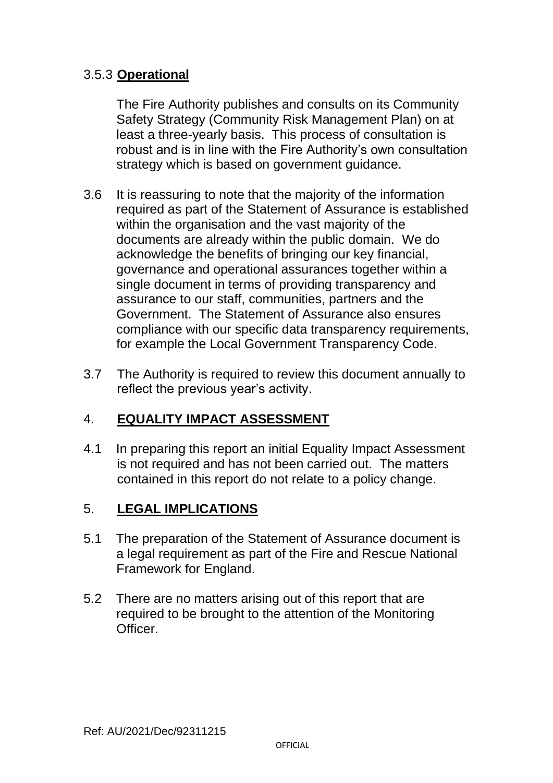### 3.5.3 **Operational**

The Fire Authority publishes and consults on its Community Safety Strategy (Community Risk Management Plan) on at least a three-yearly basis. This process of consultation is robust and is in line with the Fire Authority's own consultation strategy which is based on government guidance.

- 3.6 It is reassuring to note that the majority of the information required as part of the Statement of Assurance is established within the organisation and the vast majority of the documents are already within the public domain. We do acknowledge the benefits of bringing our key financial, governance and operational assurances together within a single document in terms of providing transparency and assurance to our staff, communities, partners and the Government. The Statement of Assurance also ensures compliance with our specific data transparency requirements, for example the Local Government Transparency Code.
- 3.7 The Authority is required to review this document annually to reflect the previous year's activity.

# 4. **EQUALITY IMPACT ASSESSMENT**

4.1 In preparing this report an initial Equality Impact Assessment is not required and has not been carried out. The matters contained in this report do not relate to a policy change.

#### 5. **LEGAL IMPLICATIONS**

- 5.1 The preparation of the Statement of Assurance document is a legal requirement as part of the Fire and Rescue National Framework for England.
- 5.2 There are no matters arising out of this report that are required to be brought to the attention of the Monitoring **Officer**